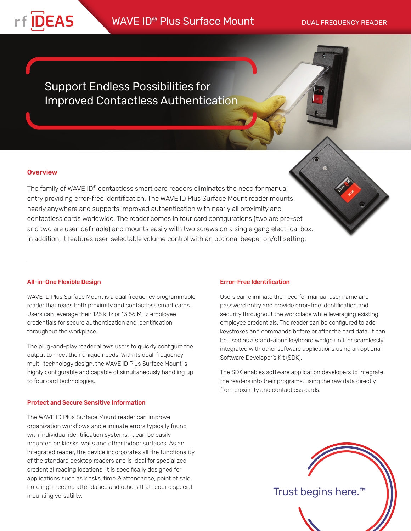

# WAVE ID<sup>®</sup> Plus Surface Mount DUAL FREQUENCY READER

Support Endless Possibilities for Improved Contactless Authentication

### **Overview**

The family of WAVE ID® contactless smart card readers eliminates the need for manual entry providing error-free identification. The WAVE ID Plus Surface Mount reader mounts nearly anywhere and supports improved authentication with nearly all proximity and contactless cards worldwide. The reader comes in four card configurations (two are pre-set and two are user-definable) and mounts easily with two screws on a single gang electrical box. In addition, it features user-selectable volume control with an optional beeper on/off setting.

#### All-in-One Flexible Design

WAVE ID Plus Surface Mount is a dual frequency programmable reader that reads both proximity and contactless smart cards. Users can leverage their 125 kHz or 13.56 MHz employee credentials for secure authentication and identification throughout the workplace.

The plug-and-play reader allows users to quickly configure the output to meet their unique needs. With its dual-frequency multi-technology design, the WAVE ID Plus Surface Mount is highly configurable and capable of simultaneously handling up to four card technologies.

#### Protect and Secure Sensitive Information

The WAVE ID Plus Surface Mount reader can improve organization workflows and eliminate errors typically found with individual identification systems. It can be easily mounted on kiosks, walls and other indoor surfaces. As an integrated reader, the device incorporates all the functionality of the standard desktop readers and is ideal for specialized credential reading locations. It is specifically designed for applications such as kiosks, time & attendance, point of sale, hoteling, meeting attendance and others that require special mounting versatility.

#### Error-Free Identification

Users can eliminate the need for manual user name and password entry and provide error-free identification and security throughout the workplace while leveraging existing employee credentials. The reader can be configured to add keystrokes and commands before or after the card data. It can be used as a stand-alone keyboard wedge unit, or seamlessly integrated with other software applications using an optional Software Developer's Kit (SDK).

The SDK enables software application developers to integrate the readers into their programs, using the raw data directly from proximity and contactless cards.



Trust begins here.™